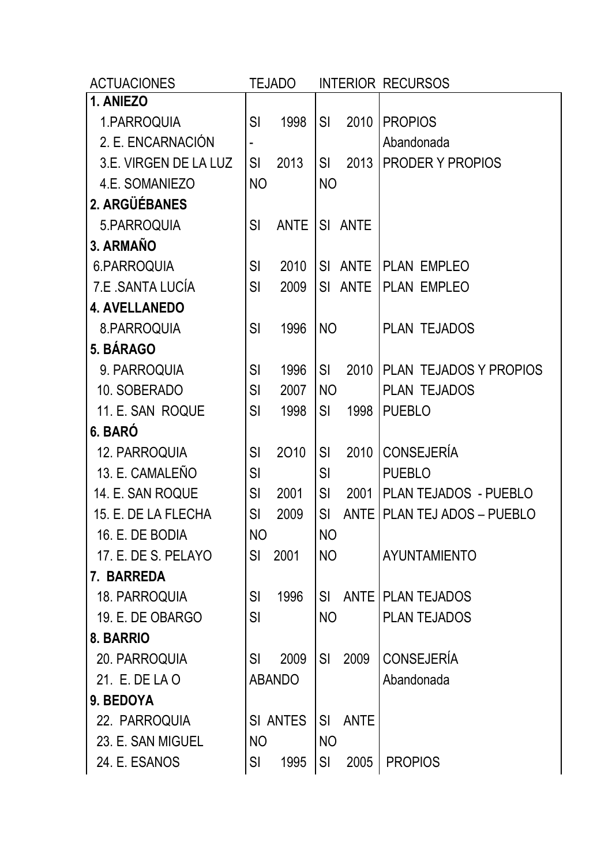| <b>ACTUACIONES</b>    |           | <b>TEJADO</b>   |                |             | <b>INTERIOR RECURSOS</b>    |
|-----------------------|-----------|-----------------|----------------|-------------|-----------------------------|
| 1. ANIEZO             |           |                 |                |             |                             |
| 1.PARROQUIA           | SI        | 1998            | SI             | 2010        | <b>PROPIOS</b>              |
| 2. E. ENCARNACIÓN     |           |                 |                |             | Abandonada                  |
| 3.E. VIRGEN DE LA LUZ | SI        | 2013            | SI.            | 2013        | PRODER Y PROPIOS            |
| 4.E. SOMANIEZO        | <b>NO</b> |                 | <b>NO</b>      |             |                             |
| 2. ARGÜÉBANES         |           |                 |                |             |                             |
| 5.PARROQUIA           | SI        | <b>ANTE</b>     |                | SI ANTE     |                             |
| 3. ARMAÑO             |           |                 |                |             |                             |
| 6.PARROQUIA           | SI        | 2010            |                | SI ANTE     | <b>PLAN EMPLEO</b>          |
| 7.E. SANTA LUCÍA      | SI        | 2009            | SI             |             | ANTE PLLAN EMPLEO           |
| <b>4. AVELLANEDO</b>  |           |                 |                |             |                             |
| 8.PARROQUIA           | SI        | 1996            | N <sub>O</sub> |             | PLAN TEJADOS                |
| 5. BÁRAGO             |           |                 |                |             |                             |
| 9. PARROQUIA          | SI        | 1996            | SI             | 2010        | PLAN TEJADOS Y PROPIOS      |
| 10. SOBERADO          | SI        | 2007            | <b>NO</b>      |             | <b>PLAN TEJADOS</b>         |
| 11. E. SAN ROQUE      | SI        | 1998            | SI             | 1998        | <b>PUEBLO</b>               |
| 6. BARÓ               |           |                 |                |             |                             |
| 12. PARROQUIA         | SI        | 2010            | SI             | 2010        | <b>CONSEJERÍA</b>           |
| 13. E. CAMALEÑO       | SI        |                 | SI             |             | <b>PUEBLO</b>               |
| 14. E. SAN ROQUE      | SI        | 2001            | SI             | 2001        | PLAN TEJADOS - PUEBLO       |
| 15. E. DE LA FLECHA   | <b>SI</b> | 2009            | SI             |             | ANTE PLAN TEJ ADOS - PUEBLO |
| 16. E. DE BODIA       | <b>NO</b> |                 | <b>NO</b>      |             |                             |
| 17. E. DE S. PELAYO   | SI        | 2001            | <b>NO</b>      |             | <b>AYUNTAMIENTO</b>         |
| 7. BARREDA            |           |                 |                |             |                             |
| 18. PARROQUIA         | SI        | 1996            | SI             |             | ANTE PLAN TEJADOS           |
| 19. E. DE OBARGO      | SI        |                 | <b>NO</b>      |             | <b>PLAN TEJADOS</b>         |
| 8. BARRIO             |           |                 |                |             |                             |
| 20. PARROQUIA         | SI        | 2009            | SI             | 2009        | <b>CONSEJERÍA</b>           |
| 21. E. DE LA O        |           | <b>ABANDO</b>   |                |             | Abandonada                  |
| 9. BEDOYA             |           |                 |                |             |                             |
| 22. PARROQUIA         |           | <b>SI ANTES</b> | SI             | <b>ANTE</b> |                             |
| 23. E. SAN MIGUEL     | <b>NO</b> |                 | <b>NO</b>      |             |                             |
| 24. E. ESANOS         | <b>SI</b> | 1995            | SI             | 2005        | <b>PROPIOS</b>              |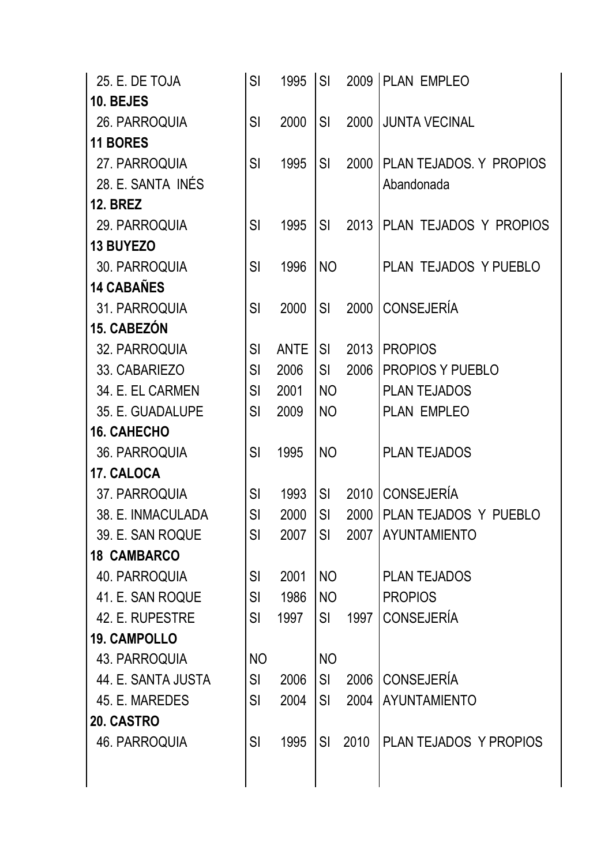| 25. E. DE TOJA      | SI        | 1995        | <b>SI</b>      |      | 2009   PLAN EMPLEO      |
|---------------------|-----------|-------------|----------------|------|-------------------------|
| 10. BEJES           |           |             |                |      |                         |
| 26. PARROQUIA       | SI        | 2000        | <b>SI</b>      | 2000 | <b>JUNTA VECINAL</b>    |
| <b>11 BORES</b>     |           |             |                |      |                         |
| 27. PARROQUIA       | SI        | 1995        | SI             | 2000 | PLAN TEJADOS. Y PROPIOS |
| 28. E. SANTA INÉS   |           |             |                |      | Abandonada              |
| <b>12. BREZ</b>     |           |             |                |      |                         |
| 29. PARROQUIA       | SI        | 1995        | SI             | 2013 | PLAN TEJADOS Y PROPIOS  |
| <b>13 BUYEZO</b>    |           |             |                |      |                         |
| 30. PARROQUIA       | SI        | 1996        | <b>NO</b>      |      | PLAN TEJADOS Y PUEBLO   |
| <b>14 CABAÑES</b>   |           |             |                |      |                         |
| 31. PARROQUIA       | SI        | 2000        | SI             | 2000 | <b>CONSEJERÍA</b>       |
| 15. CABEZÓN         |           |             |                |      |                         |
| 32. PARROQUIA       | SI        | <b>ANTE</b> | SI             | 2013 | <b>PROPIOS</b>          |
| 33. CABARIEZO       | SI        | 2006        | SI             | 2006 | PROPIOS Y PUEBLO        |
| 34. E. EL CARMEN    | SI        | 2001        | <b>NO</b>      |      | <b>PLAN TEJADOS</b>     |
| 35. E. GUADALUPE    | SI        | 2009        | <b>NO</b>      |      | PLAN EMPLEO             |
| <b>16. CAHECHO</b>  |           |             |                |      |                         |
| 36. PARROQUIA       | SI        | 1995        | <b>NO</b>      |      | <b>PLAN TEJADOS</b>     |
| 17. CALOCA          |           |             |                |      |                         |
| 37. PARROQUIA       | SI        | 1993        | SI             | 2010 | <b>CONSEJERÍA</b>       |
| 38. E. INMACULADA   | SI        | 2000        | SI             | 2000 | PLAN TEJADOS Y PUEBLO   |
| 39. E. SAN ROQUE    | SI        | 2007        | SI             |      | 2007 AYUNTAMIENTO       |
| <b>18 CAMBARCO</b>  |           |             |                |      |                         |
| 40. PARROQUIA       | SI        | 2001        | <b>NO</b>      |      | <b>PLAN TEJADOS</b>     |
| 41. E. SAN ROQUE    | SI        | 1986        | N <sub>O</sub> |      | <b>PROPIOS</b>          |
| 42. E. RUPESTRE     | <b>SI</b> | 1997        | SI             | 1997 | <b>CONSEJERÍA</b>       |
| <b>19. CAMPOLLO</b> |           |             |                |      |                         |
| 43. PARROQUIA       | <b>NO</b> |             | N <sub>O</sub> |      |                         |
| 44. E. SANTA JUSTA  | SI        | 2006        | SI             | 2006 | <b>CONSEJERÍA</b>       |
| 45. E. MAREDES      | SI        | 2004        | SI             | 2004 | <b>AYUNTAMIENTO</b>     |
| 20. CASTRO          |           |             |                |      |                         |
| 46. PARROQUIA       | SI        | 1995        | <b>SI</b>      | 2010 | PLAN TEJADOS Y PROPIOS  |
|                     |           |             |                |      |                         |
|                     |           |             |                |      |                         |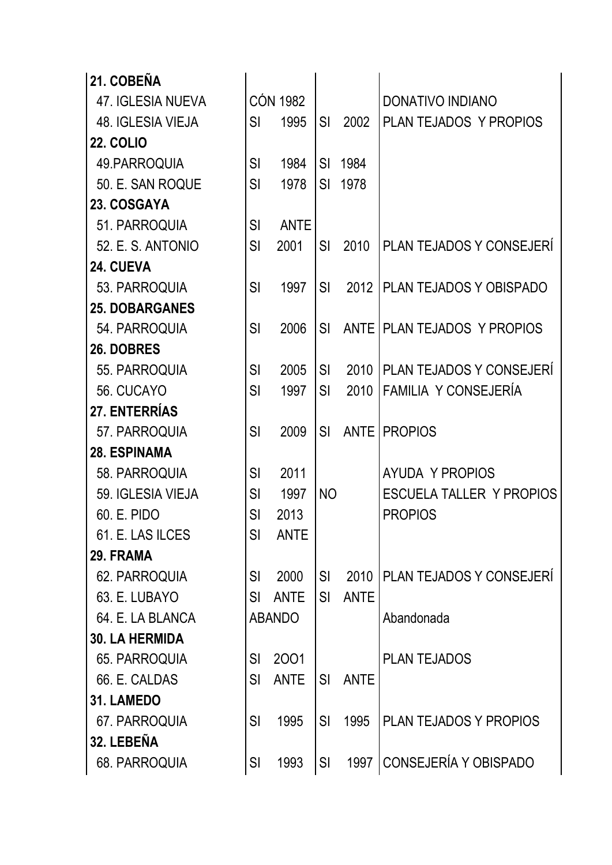| 21. COBEÑA            |           |                 |           |             |                                 |
|-----------------------|-----------|-----------------|-----------|-------------|---------------------------------|
| 47. IGLESIA NUEVA     |           | <b>CÓN 1982</b> |           |             | <b>DONATIVO INDIANO</b>         |
| 48. IGLESIA VIEJA     | <b>SI</b> | 1995            | <b>SI</b> | 2002        | PLAN TEJADOS Y PROPIOS          |
| <b>22. COLIO</b>      |           |                 |           |             |                                 |
| 49. PARROQUIA         | SI        | 1984            | <b>SI</b> | 1984        |                                 |
| 50. E. SAN ROQUE      | <b>SI</b> | 1978            | <b>SI</b> | 1978        |                                 |
| 23. COSGAYA           |           |                 |           |             |                                 |
| 51. PARROQUIA         | SI        | <b>ANTE</b>     |           |             |                                 |
| 52. E. S. ANTONIO     | SI        | 2001            | SI        | 2010        | <b>PLAN TEJADOS Y CONSEJERI</b> |
| 24. CUEVA             |           |                 |           |             |                                 |
| 53. PARROQUIA         | SI        | 1997            | SI        | 2012        | I PLAN TEJADOS Y OBISPADO       |
| <b>25. DOBARGANES</b> |           |                 |           |             |                                 |
| 54. PARROQUIA         | <b>SI</b> | 2006            | SI        |             | ANTE   PLAN TEJADOS Y PROPIOS   |
| 26. DOBRES            |           |                 |           |             |                                 |
| 55. PARROQUIA         | <b>SI</b> | 2005            | SI        | 2010        | PLAN TEJADOS Y CONSEJERÍ        |
| 56. CUCAYO            | SI        | 1997            | <b>SI</b> | 2010        | FAMILIA Y CONSEJERÍA            |
| 27. ENTERRÍAS         |           |                 |           |             |                                 |
| 57. PARROQUIA         | <b>SI</b> | 2009            | <b>SI</b> | <b>ANTE</b> | <b>PROPIOS</b>                  |
| <b>28. ESPINAMA</b>   |           |                 |           |             |                                 |
| 58. PARROQUIA         | SI        | 2011            |           |             | <b>AYUDA Y PROPIOS</b>          |
| 59. IGLESIA VIEJA     | SI        | 1997            | <b>NO</b> |             | <b>ESCUELA TALLER Y PROPIOS</b> |
| 60. E. PIDO           | SI        | 2013            |           |             | <b>PROPIOS</b>                  |
| 61. E. LAS ILCES      | SI        | <b>ANTE</b>     |           |             |                                 |
| 29. FRAMA             |           |                 |           |             |                                 |
| 62. PARROQUIA         | SI        | 2000            | SI        | 2010        | PLAN TEJADOS Y CONSEJERÍ        |
| 63. E. LUBAYO         | SI        | <b>ANTE</b>     | SI        | <b>ANTE</b> |                                 |
| 64. E. LA BLANCA      |           | <b>ABANDO</b>   |           |             | Abandonada                      |
| <b>30. LA HERMIDA</b> |           |                 |           |             |                                 |
| 65. PARROQUIA         | SI        | 2001            |           |             | <b>PLAN TEJADOS</b>             |
| 66. E. CALDAS         | SI        | <b>ANTE</b>     | SI        | <b>ANTE</b> |                                 |
| 31. LAMEDO            |           |                 |           |             |                                 |
| 67. PARROQUIA         | <b>SI</b> | 1995            | <b>SI</b> | 1995        | <b>PLAN TEJADOS Y PROPIOS</b>   |
| 32. LEBEÑA            |           |                 |           |             |                                 |
| 68. PARROQUIA         | SI        | 1993            | SI        | 1997        | CONSEJERÍA Y OBISPADO           |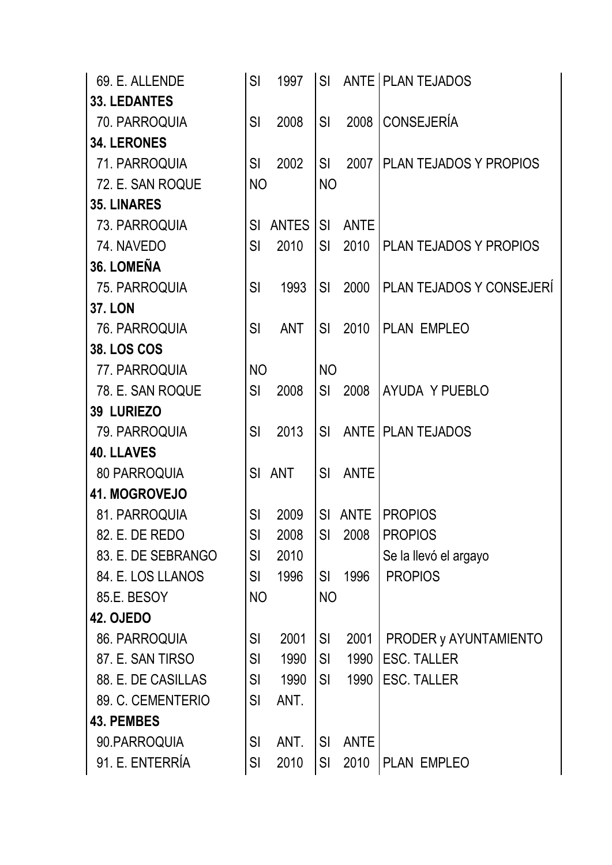| <b>33. LEDANTES</b><br>70. PARROQUIA<br><b>34. LERONES</b><br>71. PARROQUIA<br>72. E. SAN ROQUE<br><b>35. LINARES</b><br>73. PARROQUIA<br>74. NAVEDO<br>36. LOMEÑA<br>75. PARROQUIA<br><b>37. LON</b><br>76. PARROQUIA<br><b>38. LOS COS</b><br>77. PARROQUIA<br>78. E. SAN ROQUE<br><b>39 LURIEZO</b> | <b>SI</b><br><b>SI</b><br><b>NO</b><br>SI<br>SI<br>SI<br>SI<br><b>NO</b><br>SI                                                                                                                                     | 2008<br>2002<br><b>ANTES</b><br>2010<br>1993<br><b>ANT</b><br>2008 | <b>SI</b><br>SI<br><b>NO</b><br><b>SI</b><br>SI<br>SI<br><b>SI</b><br><b>NO</b><br>SI | 2008<br>2007<br><b>ANTE</b><br>2010<br>2000<br>2010<br>2008 | <b>CONSEJERÍA</b><br><b>PLAN TEJADOS Y PROPIOS</b><br><b>PLAN TEJADOS Y PROPIOS</b><br>PLAN TEJADOS Y CONSEJERÍ<br>PLAN EMPLEO |
|--------------------------------------------------------------------------------------------------------------------------------------------------------------------------------------------------------------------------------------------------------------------------------------------------------|--------------------------------------------------------------------------------------------------------------------------------------------------------------------------------------------------------------------|--------------------------------------------------------------------|---------------------------------------------------------------------------------------|-------------------------------------------------------------|--------------------------------------------------------------------------------------------------------------------------------|
|                                                                                                                                                                                                                                                                                                        |                                                                                                                                                                                                                    |                                                                    |                                                                                       |                                                             |                                                                                                                                |
|                                                                                                                                                                                                                                                                                                        |                                                                                                                                                                                                                    |                                                                    |                                                                                       |                                                             |                                                                                                                                |
|                                                                                                                                                                                                                                                                                                        |                                                                                                                                                                                                                    |                                                                    |                                                                                       |                                                             |                                                                                                                                |
|                                                                                                                                                                                                                                                                                                        |                                                                                                                                                                                                                    |                                                                    |                                                                                       |                                                             |                                                                                                                                |
|                                                                                                                                                                                                                                                                                                        |                                                                                                                                                                                                                    |                                                                    |                                                                                       |                                                             |                                                                                                                                |
|                                                                                                                                                                                                                                                                                                        |                                                                                                                                                                                                                    |                                                                    |                                                                                       |                                                             |                                                                                                                                |
|                                                                                                                                                                                                                                                                                                        |                                                                                                                                                                                                                    |                                                                    |                                                                                       |                                                             |                                                                                                                                |
|                                                                                                                                                                                                                                                                                                        |                                                                                                                                                                                                                    |                                                                    |                                                                                       |                                                             |                                                                                                                                |
|                                                                                                                                                                                                                                                                                                        |                                                                                                                                                                                                                    |                                                                    |                                                                                       |                                                             |                                                                                                                                |
|                                                                                                                                                                                                                                                                                                        |                                                                                                                                                                                                                    |                                                                    |                                                                                       |                                                             |                                                                                                                                |
|                                                                                                                                                                                                                                                                                                        |                                                                                                                                                                                                                    |                                                                    |                                                                                       |                                                             |                                                                                                                                |
|                                                                                                                                                                                                                                                                                                        |                                                                                                                                                                                                                    |                                                                    |                                                                                       |                                                             |                                                                                                                                |
|                                                                                                                                                                                                                                                                                                        |                                                                                                                                                                                                                    |                                                                    |                                                                                       |                                                             |                                                                                                                                |
|                                                                                                                                                                                                                                                                                                        |                                                                                                                                                                                                                    |                                                                    |                                                                                       |                                                             |                                                                                                                                |
|                                                                                                                                                                                                                                                                                                        |                                                                                                                                                                                                                    |                                                                    |                                                                                       |                                                             | AYUDA Y PUEBLO                                                                                                                 |
|                                                                                                                                                                                                                                                                                                        |                                                                                                                                                                                                                    |                                                                    |                                                                                       |                                                             |                                                                                                                                |
| 79. PARROQUIA                                                                                                                                                                                                                                                                                          | SI                                                                                                                                                                                                                 | 2013                                                               | SI                                                                                    |                                                             | ANTE   PLAN TEJADOS                                                                                                            |
| <b>40. LLAVES</b>                                                                                                                                                                                                                                                                                      |                                                                                                                                                                                                                    |                                                                    |                                                                                       |                                                             |                                                                                                                                |
| <b>80 PARROQUIA</b>                                                                                                                                                                                                                                                                                    |                                                                                                                                                                                                                    | SI ANT                                                             | SI                                                                                    | <b>ANTE</b>                                                 |                                                                                                                                |
| 41. MOGROVEJO                                                                                                                                                                                                                                                                                          |                                                                                                                                                                                                                    |                                                                    |                                                                                       |                                                             |                                                                                                                                |
| 81. PARROQUIA                                                                                                                                                                                                                                                                                          | SI                                                                                                                                                                                                                 | 2009                                                               | SI                                                                                    | <b>ANTE</b>                                                 | <b>PROPIOS</b>                                                                                                                 |
| 82. E. DE REDO                                                                                                                                                                                                                                                                                         | SI                                                                                                                                                                                                                 | 2008                                                               |                                                                                       | SI 2008                                                     | PROPIOS                                                                                                                        |
|                                                                                                                                                                                                                                                                                                        | SI                                                                                                                                                                                                                 | 2010                                                               |                                                                                       |                                                             | Se la llevó el argayo                                                                                                          |
|                                                                                                                                                                                                                                                                                                        | SI                                                                                                                                                                                                                 | 1996                                                               | SI                                                                                    |                                                             | <b>PROPIOS</b>                                                                                                                 |
|                                                                                                                                                                                                                                                                                                        |                                                                                                                                                                                                                    |                                                                    |                                                                                       |                                                             |                                                                                                                                |
|                                                                                                                                                                                                                                                                                                        |                                                                                                                                                                                                                    |                                                                    |                                                                                       |                                                             |                                                                                                                                |
|                                                                                                                                                                                                                                                                                                        | SI                                                                                                                                                                                                                 |                                                                    | SI                                                                                    | 2001                                                        | PRODER y AYUNTAMIENTO                                                                                                          |
|                                                                                                                                                                                                                                                                                                        | SI                                                                                                                                                                                                                 | 1990                                                               | SI                                                                                    | 1990                                                        | <b>ESC. TALLER</b>                                                                                                             |
|                                                                                                                                                                                                                                                                                                        | SI                                                                                                                                                                                                                 | 1990                                                               | <b>SI</b>                                                                             | 1990                                                        | <b>ESC. TALLER</b>                                                                                                             |
|                                                                                                                                                                                                                                                                                                        | SI                                                                                                                                                                                                                 | ANT.                                                               |                                                                                       |                                                             |                                                                                                                                |
|                                                                                                                                                                                                                                                                                                        |                                                                                                                                                                                                                    |                                                                    |                                                                                       |                                                             |                                                                                                                                |
|                                                                                                                                                                                                                                                                                                        | SI                                                                                                                                                                                                                 | ANT.                                                               | <b>SI</b>                                                                             | <b>ANTE</b>                                                 |                                                                                                                                |
|                                                                                                                                                                                                                                                                                                        | SI                                                                                                                                                                                                                 | 2010                                                               | SI                                                                                    | 2010                                                        | PLAN EMPLEO                                                                                                                    |
|                                                                                                                                                                                                                                                                                                        | 83. E. DE SEBRANGO<br>84. E. LOS LLANOS<br>85.E. BESOY<br><b>42. OJEDO</b><br>86. PARROQUIA<br>87. E. SAN TIRSO<br>88. E. DE CASILLAS<br>89. C. CEMENTERIO<br><b>43. PEMBES</b><br>90.PARROQUIA<br>91. E. ENTERRÍA |                                                                    | <b>NO</b><br>2001                                                                     |                                                             | 1996<br><b>NO</b>                                                                                                              |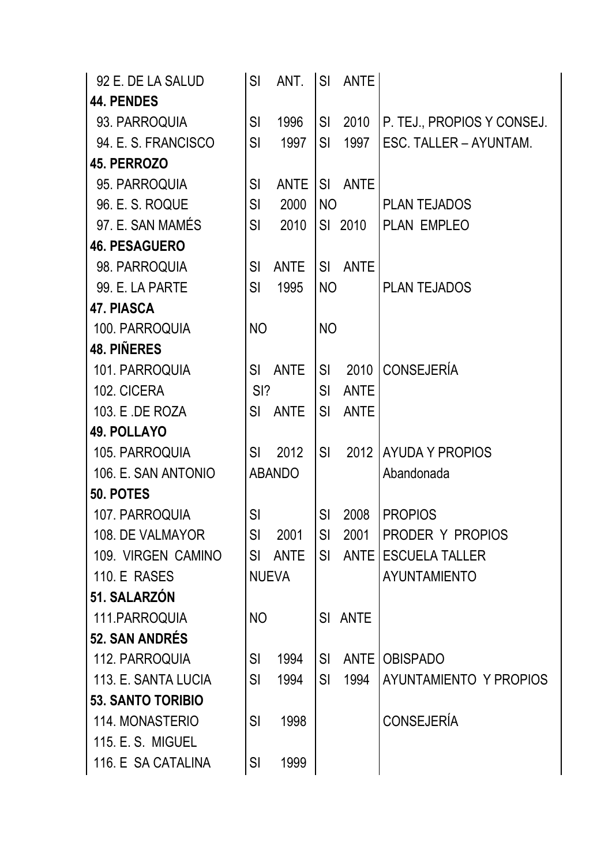| 92 E. DE LA SALUD        | SI        | ANT.          | <b>SI</b> | <b>ANTE</b> |                            |
|--------------------------|-----------|---------------|-----------|-------------|----------------------------|
| <b>44. PENDES</b>        |           |               |           |             |                            |
| 93. PARROQUIA            | SI        | 1996          | SI.       | 2010        | P. TEJ., PROPIOS Y CONSEJ. |
| 94. E. S. FRANCISCO      | SI        | 1997          | <b>SI</b> | 1997        | ESC. TALLER - AYUNTAM.     |
| 45. PERROZO              |           |               |           |             |                            |
| 95. PARROQUIA            | SI        | <b>ANTE</b>   | SI.       | <b>ANTE</b> |                            |
| 96. E. S. ROQUE          | SI        | 2000          | <b>NO</b> |             | <b>PLAN TEJADOS</b>        |
| 97. E. SAN MAMÉS         | SI        | 2010          |           | SI 2010     | PLAN EMPLEO                |
| <b>46. PESAGUERO</b>     |           |               |           |             |                            |
| 98. PARROQUIA            | SI        | <b>ANTE</b>   | SI        | <b>ANTE</b> |                            |
| 99. E. LA PARTE          | <b>SI</b> | 1995          | <b>NO</b> |             | <b>PLAN TEJADOS</b>        |
| <b>47. PIASCA</b>        |           |               |           |             |                            |
| 100. PARROQUIA           | <b>NO</b> |               | <b>NO</b> |             |                            |
| <b>48. PIÑERES</b>       |           |               |           |             |                            |
| 101. PARROQUIA           | SI        | <b>ANTE</b>   | SI        |             | 2010 CONSEJERÍA            |
| 102. CICERA              | $SI$ ?    |               | SI        | <b>ANTE</b> |                            |
| 103. E .DE ROZA          | <b>SI</b> | <b>ANTE</b>   | SI.       | <b>ANTE</b> |                            |
| <b>49. POLLAYO</b>       |           |               |           |             |                            |
| 105. PARROQUIA           | SI        | 2012          | SI        | 2012        | <b>AYUDA Y PROPIOS</b>     |
| 106. E. SAN ANTONIO      |           | <b>ABANDO</b> |           |             | Abandonada                 |
| 50. POTES                |           |               |           |             |                            |
| 107. PARROQUIA           | SI        |               | SI        | 2008        | <b>PROPIOS</b>             |
| 108. DE VALMAYOR         | SI        | 2001          | SI        | 2001        | PRODER Y PROPIOS           |
| 109. VIRGEN CAMINO       | <b>SI</b> | <b>ANTE</b>   | SI        | <b>ANTE</b> | <b>ESCUELA TALLER</b>      |
| <b>110. E RASES</b>      |           | <b>NUEVA</b>  |           |             | <b>AYUNTAMIENTO</b>        |
| 51. SALARZÓN             |           |               |           |             |                            |
| 111. PARROQUIA           | <b>NO</b> |               | SI        | <b>ANTE</b> |                            |
| <b>52. SAN ANDRÉS</b>    |           |               |           |             |                            |
| 112. PARROQUIA           | SI        | 1994          | <b>SI</b> | <b>ANTE</b> | <b>OBISPADO</b>            |
| 113. E. SANTA LUCIA      | SI        | 1994          | SI        | 1994        | AYUNTAMIENTO Y PROPIOS     |
| <b>53. SANTO TORIBIO</b> |           |               |           |             |                            |
| 114. MONASTERIO          | <b>SI</b> | 1998          |           |             | <b>CONSEJERÍA</b>          |
| 115, E. S. MIGUEL        |           |               |           |             |                            |
| 116. E SA CATALINA       | <b>SI</b> | 1999          |           |             |                            |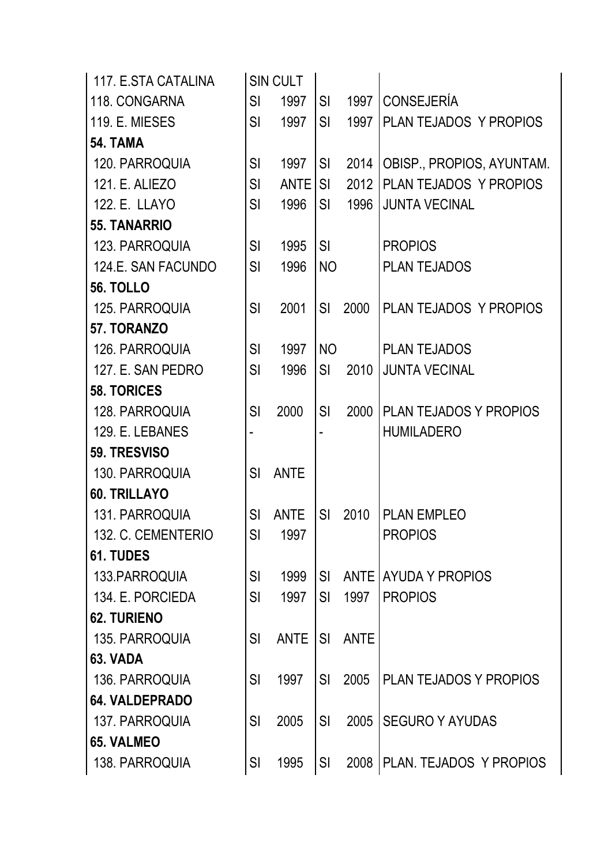| 117. E.STA CATALINA   |           | SIN CULT    |           |             |                               |
|-----------------------|-----------|-------------|-----------|-------------|-------------------------------|
| 118. CONGARNA         | SI        | 1997        | SI.       | 1997        | <b>CONSEJERÍA</b>             |
| <b>119. E. MIESES</b> | SI        | 1997        | SI.       | 1997        | PLAN TEJADOS Y PROPIOS        |
| <b>54. TAMA</b>       |           |             |           |             |                               |
| 120. PARROQUIA        | SI        | 1997        | <b>SI</b> | 2014        | OBISP., PROPIOS, AYUNTAM.     |
| 121. E. ALIEZO        | SI        | <b>ANTE</b> | <b>SI</b> | 2012        | PLAN TEJADOS Y PROPIOS        |
| 122. E. LLAYO         | SI        | 1996        | <b>SI</b> | 1996        | <b>JUNTA VECINAL</b>          |
| <b>55. TANARRIO</b>   |           |             |           |             |                               |
| 123. PARROQUIA        | SI        | 1995        | <b>SI</b> |             | <b>PROPIOS</b>                |
| 124.E. SAN FACUNDO    | <b>SI</b> | 1996        | <b>NO</b> |             | <b>PLAN TEJADOS</b>           |
| <b>56. TOLLO</b>      |           |             |           |             |                               |
| 125. PARROQUIA        | SI        | 2001        | <b>SI</b> | 2000        | PLAN TEJADOS Y PROPIOS        |
| 57. TORANZO           |           |             |           |             |                               |
| 126. PARROQUIA        | SI        | 1997        | <b>NO</b> |             | <b>PLAN TEJADOS</b>           |
| 127. E. SAN PEDRO     | SI        | 1996        | SI        | 2010        | <b>JUNTA VECINAL</b>          |
| <b>58. TORICES</b>    |           |             |           |             |                               |
| 128. PARROQUIA        | SI        | 2000        | SI        | 2000        | PLAN TEJADOS Y PROPIOS        |
| 129. E. LEBANES       |           |             |           |             | <b>HUMILADERO</b>             |
| 59. TRESVISO          |           |             |           |             |                               |
| 130. PARROQUIA        | SI        | <b>ANTE</b> |           |             |                               |
| 60. TRILLAYO          |           |             |           |             |                               |
| 131. PARROQUIA        | <b>SI</b> | <b>ANTE</b> | <b>SI</b> | 2010        | <b>PLAN EMPLEO</b>            |
| 132. C. CEMENTERIO    | SI        | 1997        |           |             | <b>PROPIOS</b>                |
| 61. TUDES             |           |             |           |             |                               |
| 133. PARROQUIA        | <b>SI</b> | 1999        | SI        | <b>ANTE</b> | <b>AYUDA Y PROPIOS</b>        |
| 134. E. PORCIEDA      | <b>SI</b> | 1997        | SI        | 1997        | <b>PROPIOS</b>                |
| <b>62. TURIENO</b>    |           |             |           |             |                               |
| 135. PARROQUIA        | SI        | <b>ANTE</b> | <b>SI</b> | <b>ANTE</b> |                               |
| 63. VADA              |           |             |           |             |                               |
| 136. PARROQUIA        | SI        | 1997        | <b>SI</b> | 2005        | <b>PLAN TEJADOS Y PROPIOS</b> |
| <b>64. VALDEPRADO</b> |           |             |           |             |                               |
| 137. PARROQUIA        | SI        | 2005        | <b>SI</b> | 2005        | <b>SEGURO Y AYUDAS</b>        |
| <b>65. VALMEO</b>     |           |             |           |             |                               |
| 138. PARROQUIA        | <b>SI</b> | 1995        | SI        | 2008        | PLAN. TEJADOS Y PROPIOS       |